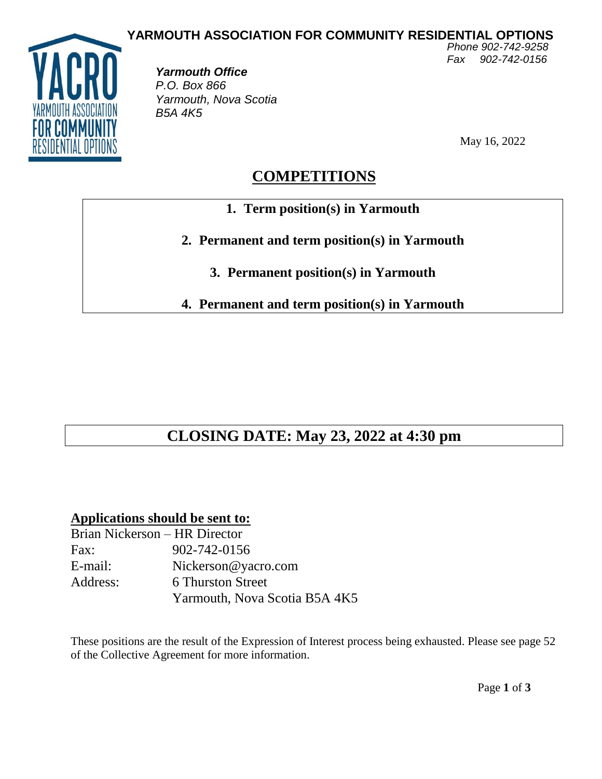

*Yarmouth Office P.O. Box 866 Yarmouth, Nova Scotia B5A 4K5* 

May 16, 2022

*Fax 902-742-0156*

## **COMPETITIONS**

- **1. Term position(s) in Yarmouth**
- **2. Permanent and term position(s) in Yarmouth**
	- **3. Permanent position(s) in Yarmouth**

**4. Permanent and term position(s) in Yarmouth**

# **CLOSING DATE: May 23, 2022 at 4:30 pm**

### **Applications should be sent to:**

| Brian Nickerson - HR Director |                               |
|-------------------------------|-------------------------------|
| Fax:                          | 902-742-0156                  |
| E-mail:                       | Nickerson@yacro.com           |
| Address:                      | <b>6 Thurston Street</b>      |
|                               | Yarmouth, Nova Scotia B5A 4K5 |

These positions are the result of the Expression of Interest process being exhausted. Please see page 52 of the Collective Agreement for more information.

Page **1** of **3**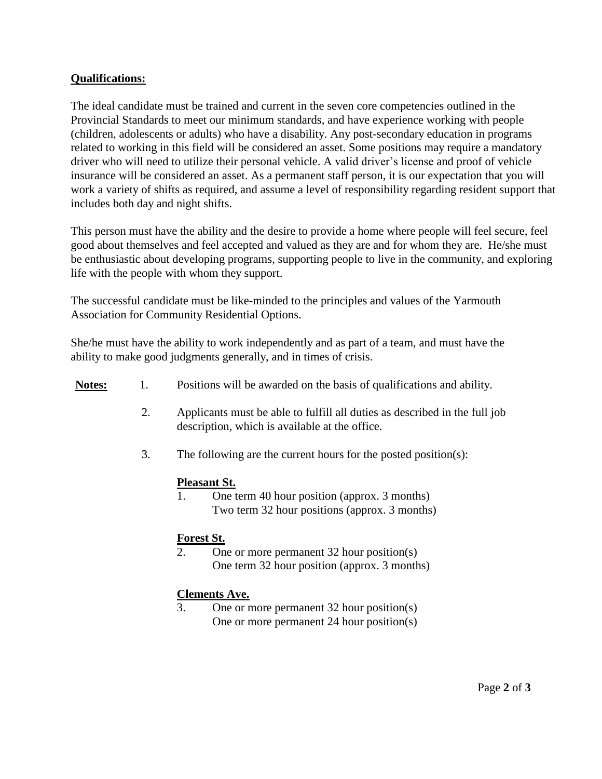#### **Qualifications:**

The ideal candidate must be trained and current in the seven core competencies outlined in the Provincial Standards to meet our minimum standards, and have experience working with people (children, adolescents or adults) who have a disability. Any post-secondary education in programs related to working in this field will be considered an asset. Some positions may require a mandatory driver who will need to utilize their personal vehicle. A valid driver's license and proof of vehicle insurance will be considered an asset. As a permanent staff person, it is our expectation that you will work a variety of shifts as required, and assume a level of responsibility regarding resident support that includes both day and night shifts.

This person must have the ability and the desire to provide a home where people will feel secure, feel good about themselves and feel accepted and valued as they are and for whom they are. He/she must be enthusiastic about developing programs, supporting people to live in the community, and exploring life with the people with whom they support.

The successful candidate must be like-minded to the principles and values of the Yarmouth Association for Community Residential Options.

She/he must have the ability to work independently and as part of a team, and must have the ability to make good judgments generally, and in times of crisis.

| <b>Notes:</b> |  |  | Positions will be awarded on the basis of qualifications and ability. |  |
|---------------|--|--|-----------------------------------------------------------------------|--|
|               |  |  |                                                                       |  |

- 2. Applicants must be able to fulfill all duties as described in the full job description, which is available at the office.
- 3. The following are the current hours for the posted position(s):

#### **Pleasant St.**

1. One term 40 hour position (approx. 3 months) Two term 32 hour positions (approx. 3 months)

#### **Forest St.**

2. One or more permanent 32 hour position(s) One term 32 hour position (approx. 3 months)

#### **Clements Ave.**

3. One or more permanent 32 hour position(s) One or more permanent 24 hour position(s)